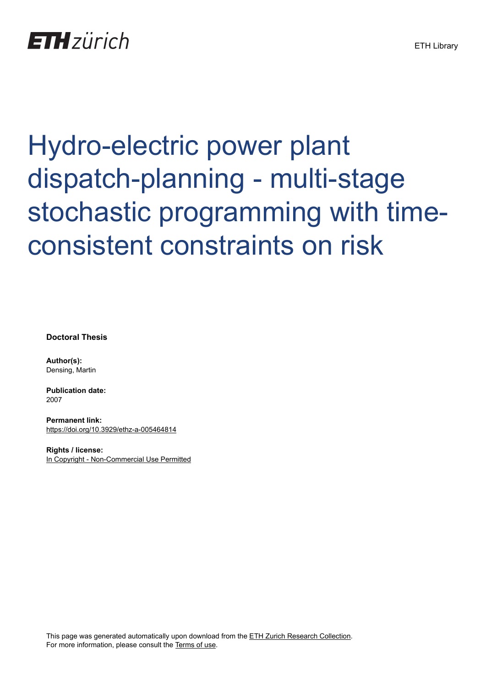# Hydro-electric power plant dispatch-planning - multi-stage stochastic programming with timeconsistent constraints on risk

**Doctoral Thesis**

**Author(s):** Densing, Martin

**Publication date:** 2007

**Permanent link:** <https://doi.org/10.3929/ethz-a-005464814>

**Rights / license:** [In Copyright - Non-Commercial Use Permitted](http://rightsstatements.org/page/InC-NC/1.0/)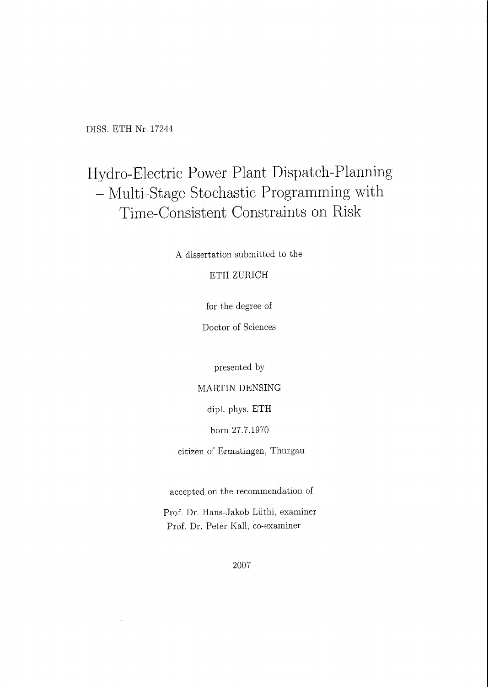DISS. ETH Nr. <sup>17244</sup>

## Hydro-Electric Power Plant Dispatch-Planning - Multi-Stage StochasticProgrammingwith Time-Consistent Constraints on Risk

A dissertation submitted to the

#### ETH ZÜRICH

for the degree of

Doctor of Sciences

presented by

MARTIN DENSING

dipl. phys. ETH

born 27.7.1970

citizen of Ermatingen, Thurgau

accepted on the recommendation of

Prof. Dr. Hans-Jakob Lüthi, examiner Prof. Dr. Peter Kall, co-examiner

2007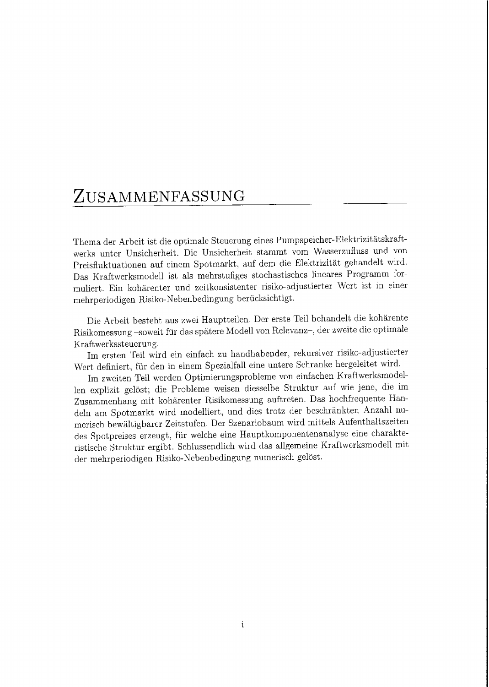### ZUSAMMENFASSUNG

Themader Arbeit ist die optimale Steuerung eines Pumpspeicher-Elektrizitätskraft werks unter Unsicherheit. Die Unsicherheit stammt vom Wasserzufluss und von Preisfluktuationen auf einem Spotmarkt, auf dem die Elektrizität gehandelt wird. Das Kraftwerksmodell ist als mehrstufiges stochastisches lineares Programm for muliert. Ein kohärenter und zeitkonsistenter risiko-adjustierter Wert ist in einer mehrperiodigen Risiko-Nebenbedingung berücksichtigt.

Die Arbeit besteht aus zwei Hauptteilen. Der erste Teil behandelt die kohärente Risikomessung -soweit für das spätere Modell von Relevanz-, der zweite die optimale Kraftwerkssteuerung.

Im ersten Teil wird ein einfach zu handhabender, rekursiver risiko-adjustierter Wert definiert, für den in einem Spezialfall eine untere Schranke hergeleitet wird.

Im zweiten Teil werden Optimierungsprobleme von einfachen Kraftwerksmodellen explizit gelöst; die Probleme weisen diesselbe Struktur auf wie jene, die im Zusammenhang mit kohärenter Risikomessung auftreten. Das hochfrequente Handeln am Spotmarkt wird modelliert, und dies trotz der beschränkten Anzahl nu merisch bewältigbarer Zeitstufen. Der Szenariobaum wird mittels Aufenthaltszeiten des Spotpreises erzeugt, für welche eine Hauptkomponentenanalyse eine charakteristische Struktur ergibt. Schlussendlich wird das allgemeine Kraftwerksmodell mit der mehrperiodigen Risiko-Nebenbedingung numerisch gelöst.